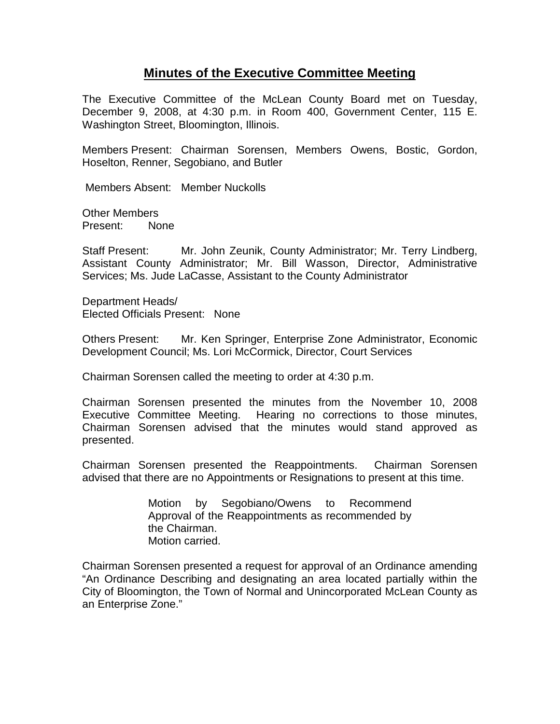## **Minutes of the Executive Committee Meeting**

The Executive Committee of the McLean County Board met on Tuesday, December 9, 2008, at 4:30 p.m. in Room 400, Government Center, 115 E. Washington Street, Bloomington, Illinois.

Members Present: Chairman Sorensen, Members Owens, Bostic, Gordon, Hoselton, Renner, Segobiano, and Butler

Members Absent: Member Nuckolls

Other Members Present: None

Staff Present: Mr. John Zeunik, County Administrator; Mr. Terry Lindberg, Assistant County Administrator; Mr. Bill Wasson, Director, Administrative Services; Ms. Jude LaCasse, Assistant to the County Administrator

Department Heads/ Elected Officials Present: None

Others Present: Mr. Ken Springer, Enterprise Zone Administrator, Economic Development Council; Ms. Lori McCormick, Director, Court Services

Chairman Sorensen called the meeting to order at 4:30 p.m.

Chairman Sorensen presented the minutes from the November 10, 2008 Executive Committee Meeting. Hearing no corrections to those minutes, Chairman Sorensen advised that the minutes would stand approved as presented.

Chairman Sorensen presented the Reappointments. Chairman Sorensen advised that there are no Appointments or Resignations to present at this time.

> Motion by Segobiano/Owens to Recommend Approval of the Reappointments as recommended by the Chairman. Motion carried.

Chairman Sorensen presented a request for approval of an Ordinance amending "An Ordinance Describing and designating an area located partially within the City of Bloomington, the Town of Normal and Unincorporated McLean County as an Enterprise Zone."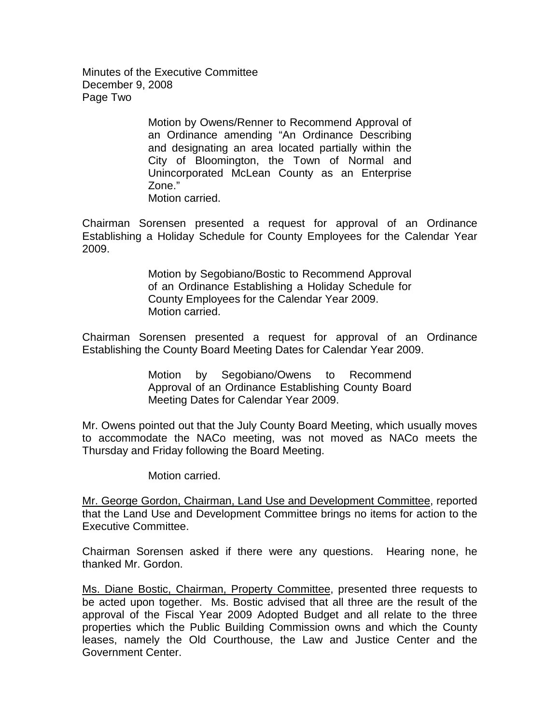Minutes of the Executive Committee December 9, 2008 Page Two

> Motion by Owens/Renner to Recommend Approval of an Ordinance amending "An Ordinance Describing and designating an area located partially within the City of Bloomington, the Town of Normal and Unincorporated McLean County as an Enterprise Zone." Motion carried.

Chairman Sorensen presented a request for approval of an Ordinance Establishing a Holiday Schedule for County Employees for the Calendar Year 2009.

> Motion by Segobiano/Bostic to Recommend Approval of an Ordinance Establishing a Holiday Schedule for County Employees for the Calendar Year 2009. Motion carried.

Chairman Sorensen presented a request for approval of an Ordinance Establishing the County Board Meeting Dates for Calendar Year 2009.

> Motion by Segobiano/Owens to Recommend Approval of an Ordinance Establishing County Board Meeting Dates for Calendar Year 2009.

Mr. Owens pointed out that the July County Board Meeting, which usually moves to accommodate the NACo meeting, was not moved as NACo meets the Thursday and Friday following the Board Meeting.

Motion carried.

Mr. George Gordon, Chairman, Land Use and Development Committee, reported that the Land Use and Development Committee brings no items for action to the Executive Committee.

Chairman Sorensen asked if there were any questions. Hearing none, he thanked Mr. Gordon.

Ms. Diane Bostic, Chairman, Property Committee, presented three requests to be acted upon together. Ms. Bostic advised that all three are the result of the approval of the Fiscal Year 2009 Adopted Budget and all relate to the three properties which the Public Building Commission owns and which the County leases, namely the Old Courthouse, the Law and Justice Center and the Government Center.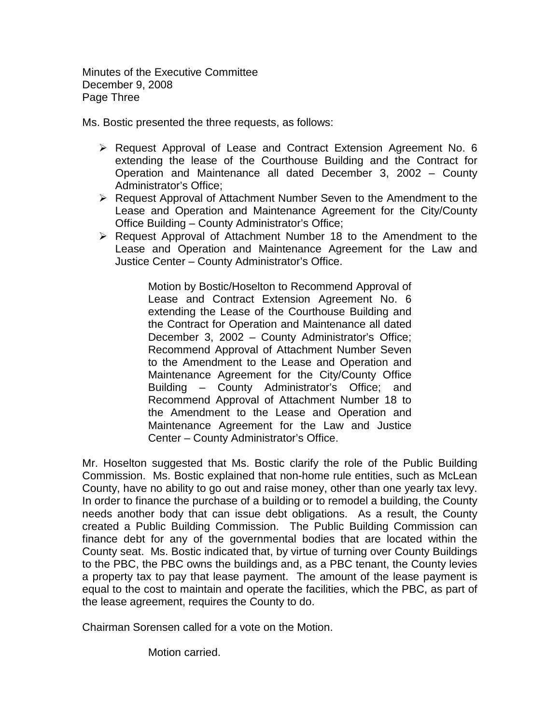Minutes of the Executive Committee December 9, 2008 Page Three

Ms. Bostic presented the three requests, as follows:

- $\triangleright$  Request Approval of Lease and Contract Extension Agreement No. 6 extending the lease of the Courthouse Building and the Contract for Operation and Maintenance all dated December 3, 2002 – County Administrator's Office;
- $\triangleright$  Request Approval of Attachment Number Seven to the Amendment to the Lease and Operation and Maintenance Agreement for the City/County Office Building – County Administrator's Office;
- $\triangleright$  Request Approval of Attachment Number 18 to the Amendment to the Lease and Operation and Maintenance Agreement for the Law and Justice Center – County Administrator's Office.

Motion by Bostic/Hoselton to Recommend Approval of Lease and Contract Extension Agreement No. 6 extending the Lease of the Courthouse Building and the Contract for Operation and Maintenance all dated December 3, 2002 – County Administrator's Office; Recommend Approval of Attachment Number Seven to the Amendment to the Lease and Operation and Maintenance Agreement for the City/County Office Building – County Administrator's Office; and Recommend Approval of Attachment Number 18 to the Amendment to the Lease and Operation and Maintenance Agreement for the Law and Justice Center – County Administrator's Office.

Mr. Hoselton suggested that Ms. Bostic clarify the role of the Public Building Commission. Ms. Bostic explained that non-home rule entities, such as McLean County, have no ability to go out and raise money, other than one yearly tax levy. In order to finance the purchase of a building or to remodel a building, the County needs another body that can issue debt obligations. As a result, the County created a Public Building Commission. The Public Building Commission can finance debt for any of the governmental bodies that are located within the County seat. Ms. Bostic indicated that, by virtue of turning over County Buildings to the PBC, the PBC owns the buildings and, as a PBC tenant, the County levies a property tax to pay that lease payment. The amount of the lease payment is equal to the cost to maintain and operate the facilities, which the PBC, as part of the lease agreement, requires the County to do.

Chairman Sorensen called for a vote on the Motion.

Motion carried.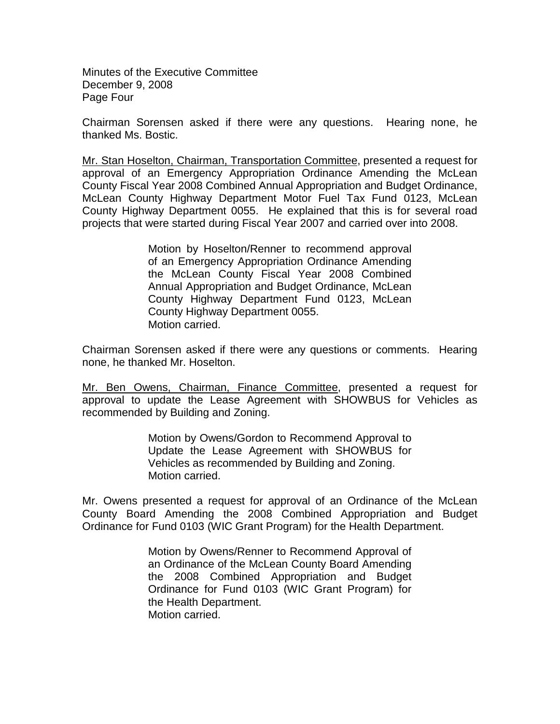Minutes of the Executive Committee December 9, 2008 Page Four

Chairman Sorensen asked if there were any questions. Hearing none, he thanked Ms. Bostic.

Mr. Stan Hoselton, Chairman, Transportation Committee, presented a request for approval of an Emergency Appropriation Ordinance Amending the McLean County Fiscal Year 2008 Combined Annual Appropriation and Budget Ordinance, McLean County Highway Department Motor Fuel Tax Fund 0123, McLean County Highway Department 0055. He explained that this is for several road projects that were started during Fiscal Year 2007 and carried over into 2008.

> Motion by Hoselton/Renner to recommend approval of an Emergency Appropriation Ordinance Amending the McLean County Fiscal Year 2008 Combined Annual Appropriation and Budget Ordinance, McLean County Highway Department Fund 0123, McLean County Highway Department 0055. Motion carried.

Chairman Sorensen asked if there were any questions or comments. Hearing none, he thanked Mr. Hoselton.

Mr. Ben Owens, Chairman, Finance Committee, presented a request for approval to update the Lease Agreement with SHOWBUS for Vehicles as recommended by Building and Zoning.

> Motion by Owens/Gordon to Recommend Approval to Update the Lease Agreement with SHOWBUS for Vehicles as recommended by Building and Zoning. Motion carried.

Mr. Owens presented a request for approval of an Ordinance of the McLean County Board Amending the 2008 Combined Appropriation and Budget Ordinance for Fund 0103 (WIC Grant Program) for the Health Department.

> Motion by Owens/Renner to Recommend Approval of an Ordinance of the McLean County Board Amending the 2008 Combined Appropriation and Budget Ordinance for Fund 0103 (WIC Grant Program) for the Health Department. Motion carried.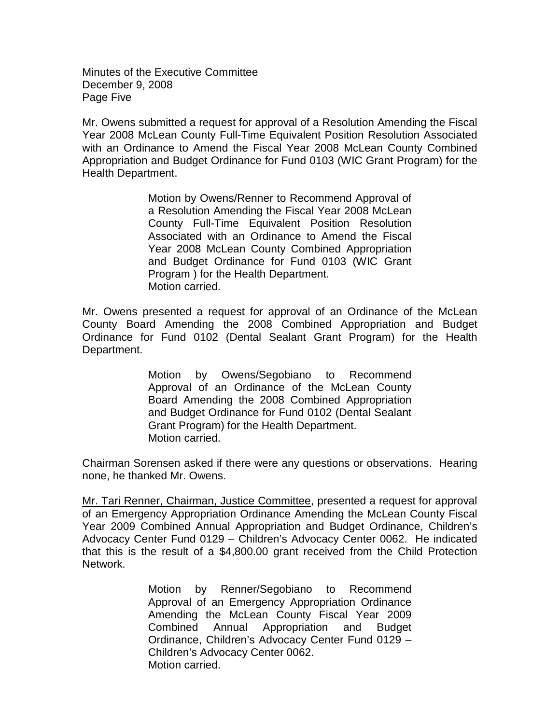Minutes of the Executive Committee December 9, 2008 Page Five

Mr. Owens submitted a request for approval of a Resolution Amending the Fiscal Year 2008 McLean County Full-Time Equivalent Position Resolution Associated with an Ordinance to Amend the Fiscal Year 2008 McLean County Combined Appropriation and Budget Ordinance for Fund 0103 (WIC Grant Program) for the Health Department.

> Motion by Owens/Renner to Recommend Approval of a Resolution Amending the Fiscal Year 2008 McLean County Full-Time Equivalent Position Resolution Associated with an Ordinance to Amend the Fiscal Year 2008 McLean County Combined Appropriation and Budget Ordinance for Fund 0103 (WIC Grant Program ) for the Health Department. Motion carried.

Mr. Owens presented a request for approval of an Ordinance of the McLean County Board Amending the 2008 Combined Appropriation and Budget Ordinance for Fund 0102 (Dental Sealant Grant Program) for the Health Department.

> Motion by Owens/Segobiano to Recommend Approval of an Ordinance of the McLean County Board Amending the 2008 Combined Appropriation and Budget Ordinance for Fund 0102 (Dental Sealant Grant Program) for the Health Department. Motion carried.

Chairman Sorensen asked if there were any questions or observations. Hearing none, he thanked Mr. Owens.

Mr. Tari Renner, Chairman, Justice Committee, presented a request for approval of an Emergency Appropriation Ordinance Amending the McLean County Fiscal Year 2009 Combined Annual Appropriation and Budget Ordinance, Children's Advocacy Center Fund 0129 – Children's Advocacy Center 0062. He indicated that this is the result of a \$4,800.00 grant received from the Child Protection Network.

> Motion by Renner/Segobiano to Recommend Approval of an Emergency Appropriation Ordinance Amending the McLean County Fiscal Year 2009 Combined Annual Appropriation and Budget Ordinance, Children's Advocacy Center Fund 0129 – Children's Advocacy Center 0062. Motion carried.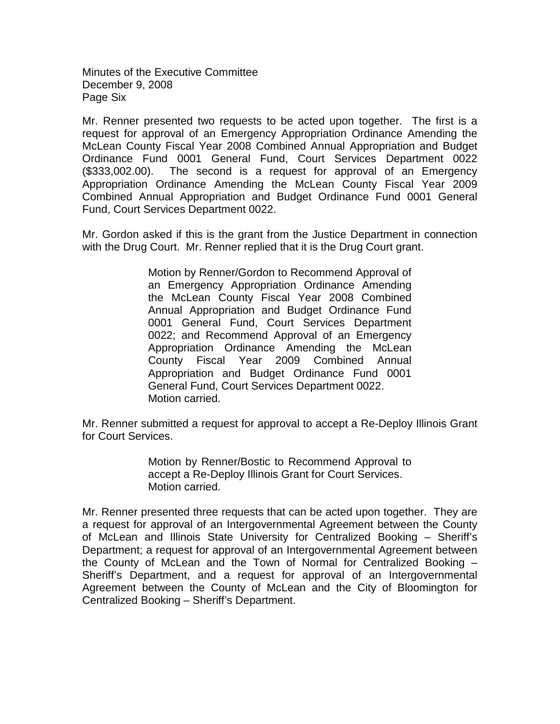Minutes of the Executive Committee December 9, 2008 Page Six

Mr. Renner presented two requests to be acted upon together. The first is a request for approval of an Emergency Appropriation Ordinance Amending the McLean County Fiscal Year 2008 Combined Annual Appropriation and Budget Ordinance Fund 0001 General Fund, Court Services Department 0022 (\$333,002.00). The second is a request for approval of an Emergency Appropriation Ordinance Amending the McLean County Fiscal Year 2009 Combined Annual Appropriation and Budget Ordinance Fund 0001 General Fund, Court Services Department 0022.

Mr. Gordon asked if this is the grant from the Justice Department in connection with the Drug Court. Mr. Renner replied that it is the Drug Court grant.

> Motion by Renner/Gordon to Recommend Approval of an Emergency Appropriation Ordinance Amending the McLean County Fiscal Year 2008 Combined Annual Appropriation and Budget Ordinance Fund 0001 General Fund, Court Services Department 0022; and Recommend Approval of an Emergency Appropriation Ordinance Amending the McLean County Fiscal Year 2009 Combined Annual Appropriation and Budget Ordinance Fund 0001 General Fund, Court Services Department 0022. Motion carried.

Mr. Renner submitted a request for approval to accept a Re-Deploy Illinois Grant for Court Services.

> Motion by Renner/Bostic to Recommend Approval to accept a Re-Deploy Illinois Grant for Court Services. Motion carried.

Mr. Renner presented three requests that can be acted upon together. They are a request for approval of an Intergovernmental Agreement between the County of McLean and Illinois State University for Centralized Booking – Sheriff's Department; a request for approval of an Intergovernmental Agreement between the County of McLean and the Town of Normal for Centralized Booking – Sheriff's Department, and a request for approval of an Intergovernmental Agreement between the County of McLean and the City of Bloomington for Centralized Booking – Sheriff's Department.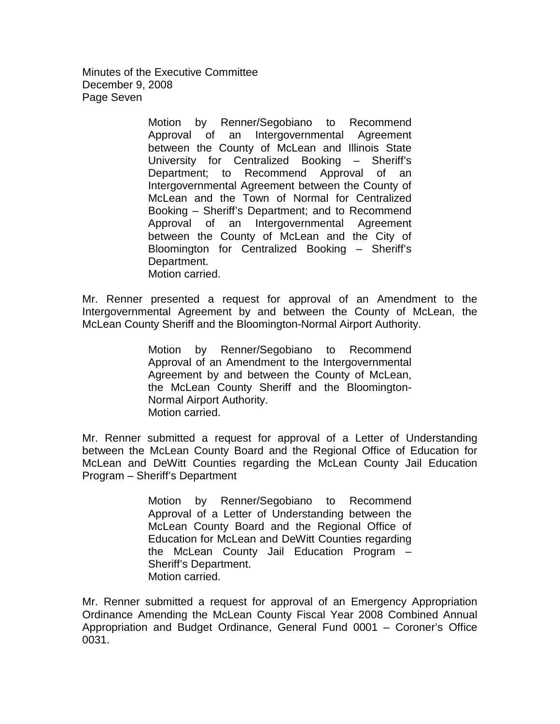Minutes of the Executive Committee December 9, 2008 Page Seven

> Motion by Renner/Segobiano to Recommend Approval of an Intergovernmental Agreement between the County of McLean and Illinois State University for Centralized Booking – Sheriff's Department; to Recommend Approval of an Intergovernmental Agreement between the County of McLean and the Town of Normal for Centralized Booking – Sheriff's Department; and to Recommend Approval of an Intergovernmental Agreement between the County of McLean and the City of Bloomington for Centralized Booking – Sheriff's Department. Motion carried.

Mr. Renner presented a request for approval of an Amendment to the Intergovernmental Agreement by and between the County of McLean, the McLean County Sheriff and the Bloomington-Normal Airport Authority.

> Motion by Renner/Segobiano to Recommend Approval of an Amendment to the Intergovernmental Agreement by and between the County of McLean, the McLean County Sheriff and the Bloomington-Normal Airport Authority. Motion carried.

Mr. Renner submitted a request for approval of a Letter of Understanding between the McLean County Board and the Regional Office of Education for McLean and DeWitt Counties regarding the McLean County Jail Education Program – Sheriff's Department

> Motion by Renner/Segobiano to Recommend Approval of a Letter of Understanding between the McLean County Board and the Regional Office of Education for McLean and DeWitt Counties regarding the McLean County Jail Education Program – Sheriff's Department. Motion carried.

Mr. Renner submitted a request for approval of an Emergency Appropriation Ordinance Amending the McLean County Fiscal Year 2008 Combined Annual Appropriation and Budget Ordinance, General Fund 0001 – Coroner's Office 0031.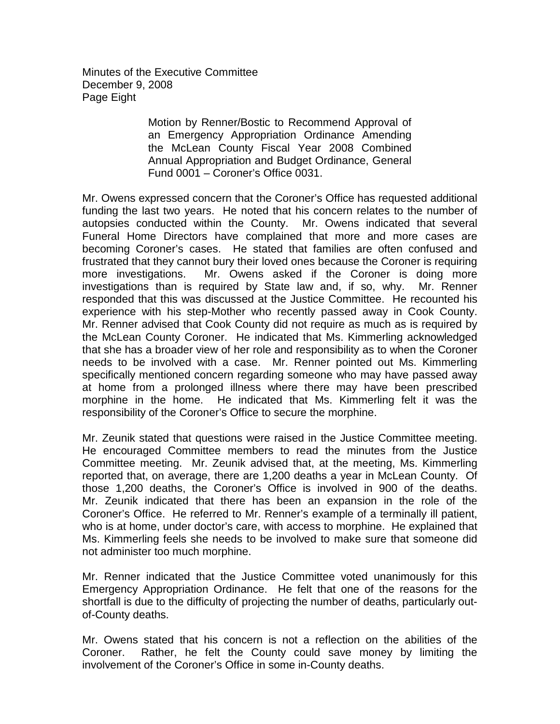Minutes of the Executive Committee December 9, 2008 Page Eight

> Motion by Renner/Bostic to Recommend Approval of an Emergency Appropriation Ordinance Amending the McLean County Fiscal Year 2008 Combined Annual Appropriation and Budget Ordinance, General Fund 0001 – Coroner's Office 0031.

Mr. Owens expressed concern that the Coroner's Office has requested additional funding the last two years. He noted that his concern relates to the number of autopsies conducted within the County. Mr. Owens indicated that several Funeral Home Directors have complained that more and more cases are becoming Coroner's cases. He stated that families are often confused and frustrated that they cannot bury their loved ones because the Coroner is requiring more investigations. Mr. Owens asked if the Coroner is doing more investigations than is required by State law and, if so, why. Mr. Renner responded that this was discussed at the Justice Committee. He recounted his experience with his step-Mother who recently passed away in Cook County. Mr. Renner advised that Cook County did not require as much as is required by the McLean County Coroner. He indicated that Ms. Kimmerling acknowledged that she has a broader view of her role and responsibility as to when the Coroner needs to be involved with a case. Mr. Renner pointed out Ms. Kimmerling specifically mentioned concern regarding someone who may have passed away at home from a prolonged illness where there may have been prescribed morphine in the home. He indicated that Ms. Kimmerling felt it was the responsibility of the Coroner's Office to secure the morphine.

Mr. Zeunik stated that questions were raised in the Justice Committee meeting. He encouraged Committee members to read the minutes from the Justice Committee meeting. Mr. Zeunik advised that, at the meeting, Ms. Kimmerling reported that, on average, there are 1,200 deaths a year in McLean County. Of those 1,200 deaths, the Coroner's Office is involved in 900 of the deaths. Mr. Zeunik indicated that there has been an expansion in the role of the Coroner's Office. He referred to Mr. Renner's example of a terminally ill patient, who is at home, under doctor's care, with access to morphine. He explained that Ms. Kimmerling feels she needs to be involved to make sure that someone did not administer too much morphine.

Mr. Renner indicated that the Justice Committee voted unanimously for this Emergency Appropriation Ordinance. He felt that one of the reasons for the shortfall is due to the difficulty of projecting the number of deaths, particularly outof-County deaths.

Mr. Owens stated that his concern is not a reflection on the abilities of the Coroner. Rather, he felt the County could save money by limiting the involvement of the Coroner's Office in some in-County deaths.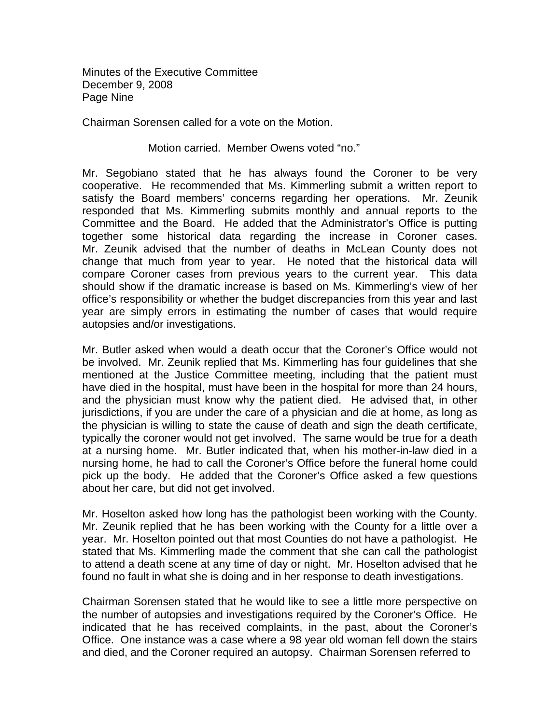Minutes of the Executive Committee December 9, 2008 Page Nine

Chairman Sorensen called for a vote on the Motion.

## Motion carried. Member Owens voted "no."

Mr. Segobiano stated that he has always found the Coroner to be very cooperative. He recommended that Ms. Kimmerling submit a written report to satisfy the Board members' concerns regarding her operations. Mr. Zeunik responded that Ms. Kimmerling submits monthly and annual reports to the Committee and the Board. He added that the Administrator's Office is putting together some historical data regarding the increase in Coroner cases. Mr. Zeunik advised that the number of deaths in McLean County does not change that much from year to year. He noted that the historical data will compare Coroner cases from previous years to the current year. This data should show if the dramatic increase is based on Ms. Kimmerling's view of her office's responsibility or whether the budget discrepancies from this year and last year are simply errors in estimating the number of cases that would require autopsies and/or investigations.

Mr. Butler asked when would a death occur that the Coroner's Office would not be involved. Mr. Zeunik replied that Ms. Kimmerling has four guidelines that she mentioned at the Justice Committee meeting, including that the patient must have died in the hospital, must have been in the hospital for more than 24 hours, and the physician must know why the patient died. He advised that, in other jurisdictions, if you are under the care of a physician and die at home, as long as the physician is willing to state the cause of death and sign the death certificate, typically the coroner would not get involved. The same would be true for a death at a nursing home. Mr. Butler indicated that, when his mother-in-law died in a nursing home, he had to call the Coroner's Office before the funeral home could pick up the body. He added that the Coroner's Office asked a few questions about her care, but did not get involved.

Mr. Hoselton asked how long has the pathologist been working with the County. Mr. Zeunik replied that he has been working with the County for a little over a year. Mr. Hoselton pointed out that most Counties do not have a pathologist. He stated that Ms. Kimmerling made the comment that she can call the pathologist to attend a death scene at any time of day or night. Mr. Hoselton advised that he found no fault in what she is doing and in her response to death investigations.

Chairman Sorensen stated that he would like to see a little more perspective on the number of autopsies and investigations required by the Coroner's Office. He indicated that he has received complaints, in the past, about the Coroner's Office. One instance was a case where a 98 year old woman fell down the stairs and died, and the Coroner required an autopsy. Chairman Sorensen referred to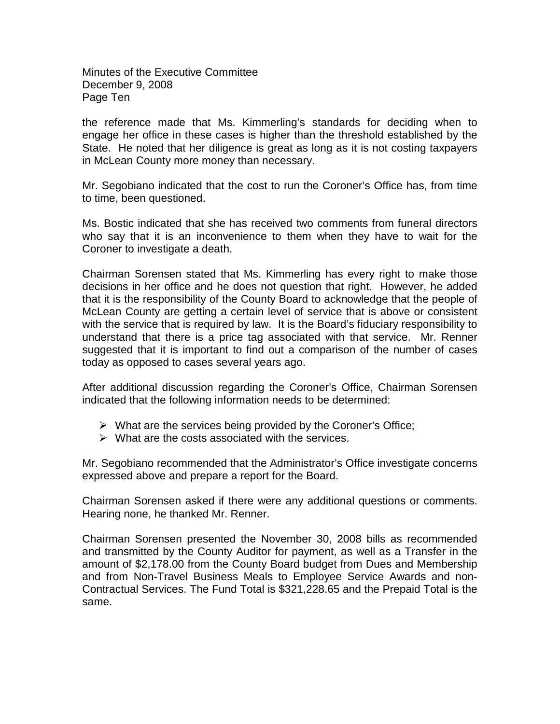Minutes of the Executive Committee December 9, 2008 Page Ten

the reference made that Ms. Kimmerling's standards for deciding when to engage her office in these cases is higher than the threshold established by the State. He noted that her diligence is great as long as it is not costing taxpayers in McLean County more money than necessary.

Mr. Segobiano indicated that the cost to run the Coroner's Office has, from time to time, been questioned.

Ms. Bostic indicated that she has received two comments from funeral directors who say that it is an inconvenience to them when they have to wait for the Coroner to investigate a death.

Chairman Sorensen stated that Ms. Kimmerling has every right to make those decisions in her office and he does not question that right. However, he added that it is the responsibility of the County Board to acknowledge that the people of McLean County are getting a certain level of service that is above or consistent with the service that is required by law. It is the Board's fiduciary responsibility to understand that there is a price tag associated with that service. Mr. Renner suggested that it is important to find out a comparison of the number of cases today as opposed to cases several years ago.

After additional discussion regarding the Coroner's Office, Chairman Sorensen indicated that the following information needs to be determined:

- $\triangleright$  What are the services being provided by the Coroner's Office;
- $\triangleright$  What are the costs associated with the services.

Mr. Segobiano recommended that the Administrator's Office investigate concerns expressed above and prepare a report for the Board.

Chairman Sorensen asked if there were any additional questions or comments. Hearing none, he thanked Mr. Renner.

Chairman Sorensen presented the November 30, 2008 bills as recommended and transmitted by the County Auditor for payment, as well as a Transfer in the amount of \$2,178.00 from the County Board budget from Dues and Membership and from Non-Travel Business Meals to Employee Service Awards and non-Contractual Services. The Fund Total is \$321,228.65 and the Prepaid Total is the same.